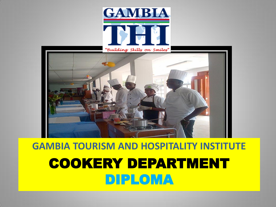



### **GAMBIA TOURISM AND HOSPITALITY INSTITUTE** COOKERY DEPARTMENT DIPLOMA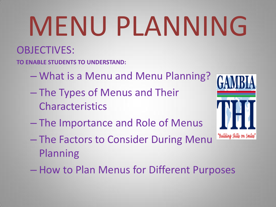# MENU PLANNING

#### OBJECTIVES:

**TO ENABLE STUDENTS TO UNDERSTAND:**

- What is a Menu and Menu Planning?
- The Types of Menus and Their Characteristics
- The Importance and Role of Menus
- The Factors to Consider During Menu Planning
- How to Plan Menus for Different Purposes

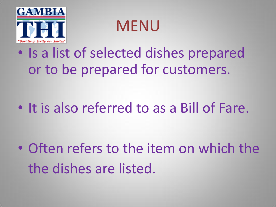

MENU

## • Is a list of selected dishes prepared or to be prepared for customers.

• It is also referred to as a Bill of Fare.

• Often refers to the item on which the the dishes are listed.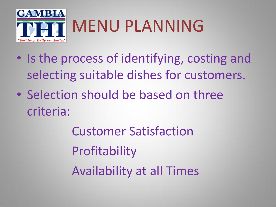

# MENU PLANNING

- Is the process of identifying, costing and selecting suitable dishes for customers.
- Selection should be based on three criteria:

Customer Satisfaction Profitability Availability at all Times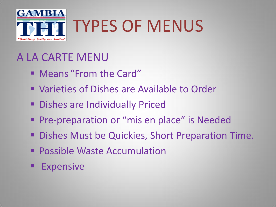

# TYPES OF MENUS

#### A LA CARTE MENU

- Means "From the Card"
- Varieties of Dishes are Available to Order
- **Dishes are Individually Priced**
- **Pre-preparation or "mis en place" is Needed**
- **Dishes Must be Quickies, Short Preparation Time.**
- **Possible Waste Accumulation**
- Expensive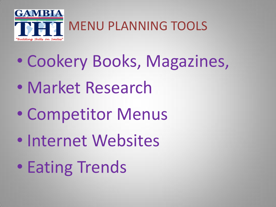

MENU PLANNING TOOLS

- Cookery Books, Magazines,
- Market Research
- Competitor Menus
- Internet Websites
- Eating Trends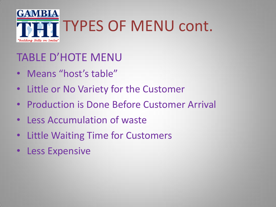

#### TABLE D'HOTE MENU

- Means "host's table"
- Little or No Variety for the Customer
- Production is Done Before Customer Arrival
- Less Accumulation of waste
- Little Waiting Time for Customers
- Less Expensive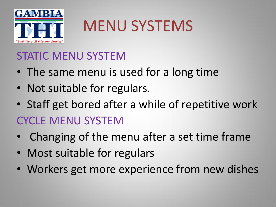

# MENU SYSTEMS

#### STATIC MENU SYSTEM

- The same menu is used for a long time
- Not suitable for regulars.
- Staff get bored after a while of repetitive work CYCLE MENU SYSTEM
- Changing of the menu after a set time frame
- Most suitable for regulars
- Workers get more experience from new dishes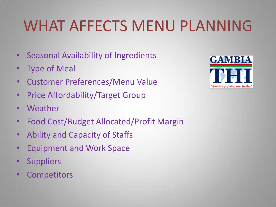# WHAT AFFECTS MENU PLANNING

- Seasonal Availability of Ingredients
- Type of Meal
- Customer Preferences/Menu Value
- Price Affordability/Target Group
- Weather
- Food Cost/Budget Allocated/Profit Margin
- Ability and Capacity of Staffs
- Equipment and Work Space
- Suppliers
- Competitors

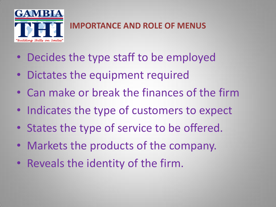

#### **IMPORTANCE AND ROLE OF MENUS**

- Decides the type staff to be employed
- Dictates the equipment required
- Can make or break the finances of the firm
- Indicates the type of customers to expect
- States the type of service to be offered.
- Markets the products of the company.
- Reveals the identity of the firm.